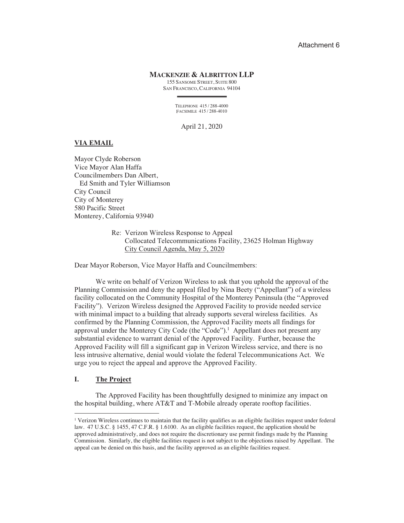## Attachment 6

# **MACKENZIE & ALBRITTON LLP**

155 SANSOME STREET, SUITE 800 SAN FRANCISCO, CALIFORNIA 94104

TELEPHONE 415/288-4000 FACSIMILE 415 / 288-4010

April 21, 2020

## **VIA EMAIL**

Mayor Clyde Roberson Vice Mayor Alan Haffa Councilmembers Dan Albert, Ed Smith and Tyler Williamson City Council City of Monterey 580 Pacific Street Monterey, California 93940

> Re: Verizon Wireless Response to Appeal Collocated Telecommunications Facility, 23625 Holman Highway City Council Agenda, May 5, 2020

Dear Mayor Roberson, Vice Mayor Haffa and Councilmembers:

We write on behalf of Verizon Wireless to ask that you uphold the approval of the Planning Commission and deny the appeal filed by Nina Beety ("Appellant") of a wireless facility collocated on the Community Hospital of the Monterey Peninsula (the "Approved" Facility"). Verizon Wireless designed the Approved Facility to provide needed service with minimal impact to a building that already supports several wireless facilities. As confirmed by the Planning Commission, the Approved Facility meets all findings for approval under the Monterey City Code (the "Code").<sup>1</sup> Appellant does not present any substantial evidence to warrant denial of the Approved Facility. Further, because the Approved Facility will fill a significant gap in Verizon Wireless service, and there is no less intrusive alternative, denial would violate the federal Telecommunications Act. We urge you to reject the appeal and approve the Approved Facility.

#### I. **The Project**

The Approved Facility has been thoughtfully designed to minimize any impact on the hospital building, where AT&T and T-Mobile already operate rooftop facilities.

<sup>&</sup>lt;sup>1</sup> Verizon Wireless continues to maintain that the facility qualifies as an eligible facilities request under federal law. 47 U.S.C. § 1455, 47 C.F.R. § 1.6100. As an eligible facilities request, the application should be approved administratively, and does not require the discretionary use permit findings made by the Planning Commission. Similarly, the eligible facilities request is not subject to the objections raised by Appellant. The appeal can be denied on this basis, and the facility approved as an eligible facilities request.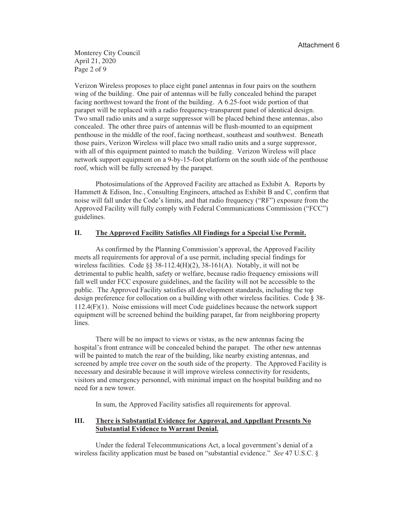Monterey City Council April 21, 2020 Page 2 of 9

Verizon Wireless proposes to place eight panel antennas in four pairs on the southern wing of the building. One pair of antennas will be fully concealed behind the parapet facing northwest toward the front of the building. A 6.25-foot wide portion of that parapet will be replaced with a radio frequency-transparent panel of identical design. Two small radio units and a surge suppressor will be placed behind these antennas, also concealed. The other three pairs of antennas will be flush-mounted to an equipment penthouse in the middle of the roof, facing northeast, southeast and southwest. Beneath those pairs, Verizon Wireless will place two small radio units and a surge suppressor, with all of this equipment painted to match the building. Verizon Wireless will place network support equipment on a 9-by-15-foot platform on the south side of the penthouse roof, which will be fully screened by the parapet.

Photosimulations of the Approved Facility are attached as Exhibit A. Reports by Hammett & Edison, Inc., Consulting Engineers, attached as Exhibit B and C, confirm that noise will fall under the Code's limits, and that radio frequency ("RF") exposure from the Approved Facility will fully comply with Federal Communications Commission ("FCC") guidelines.

#### II. The Approved Facility Satisfies All Findings for a Special Use Permit.

As confirmed by the Planning Commission's approval, the Approved Facility meets all requirements for approval of a use permit, including special findings for wireless facilities. Code  $\S$ § 38-112.4(H)(2), 38-161(A). Notably, it will not be detrimental to public health, safety or welfare, because radio frequency emissions will fall well under FCC exposure guidelines, and the facility will not be accessible to the public. The Approved Facility satisfies all development standards, including the top design preference for collocation on a building with other wireless facilities. Code § 38- $112.4(F)(1)$ . Noise emissions will meet Code guidelines because the network support equipment will be screened behind the building parapet, far from neighboring property lines.

There will be no impact to views or vistas, as the new antennas facing the hospital's front entrance will be concealed behind the parapet. The other new antennas will be painted to match the rear of the building, like nearby existing antennas, and screened by ample tree cover on the south side of the property. The Approved Facility is necessary and desirable because it will improve wireless connectivity for residents, visitors and emergency personnel, with minimal impact on the hospital building and no need for a new tower.

In sum, the Approved Facility satisfies all requirements for approval.

### III. There is Substantial Evidence for Approval, and Appellant Presents No **Substantial Evidence to Warrant Denial.**

Under the federal Telecommunications Act, a local government's denial of a wireless facility application must be based on "substantial evidence." See 47 U.S.C. §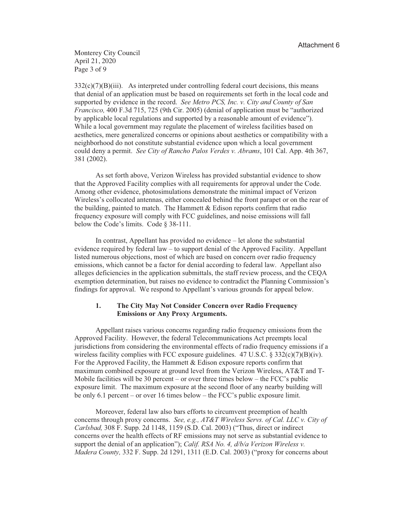Monterey City Council April 21, 2020 Page 3 of 9

 $332(c)(7)(B)(iii)$ . As interpreted under controlling federal court decisions, this means that denial of an application must be based on requirements set forth in the local code and supported by evidence in the record. See Metro PCS, Inc. v. City and County of San Francisco, 400 F.3d 715, 725 (9th Cir. 2005) (denial of application must be "authorized by applicable local regulations and supported by a reasonable amount of evidence"). While a local government may regulate the placement of wireless facilities based on aesthetics, mere generalized concerns or opinions about aesthetics or compatibility with a neighborhood do not constitute substantial evidence upon which a local government could deny a permit. See City of Rancho Palos Verdes v. Abrams, 101 Cal. App. 4th 367, 381 (2002).

As set forth above, Verizon Wireless has provided substantial evidence to show that the Approved Facility complies with all requirements for approval under the Code. Among other evidence, photosimulations demonstrate the minimal impact of Verizon Wireless's collocated antennas, either concealed behind the front parapet or on the rear of the building, painted to match. The Hammett  $\&$  Edison reports confirm that radio frequency exposure will comply with FCC guidelines, and noise emissions will fall below the Code's limits. Code  $\S$  38-111.

In contrast, Appellant has provided no evidence – let alone the substantial evidence required by federal law – to support denial of the Approved Facility. Appellant listed numerous objections, most of which are based on concern over radio frequency emissions, which cannot be a factor for denial according to federal law. Appellant also alleges deficiencies in the application submittals, the staff review process, and the CEQA exemption determination, but raises no evidence to contradict the Planning Commission's findings for approval. We respond to Appellant's various grounds for appeal below.

### $1.$ The City May Not Consider Concern over Radio Frequency **Emissions or Any Proxy Arguments.**

Appellant raises various concerns regarding radio frequency emissions from the Approved Facility. However, the federal Telecommunications Act preempts local jurisdictions from considering the environmental effects of radio frequency emissions if a wireless facility complies with FCC exposure guidelines. 47 U.S.C. § 332(c)(7)(B)(iv). For the Approved Facility, the Hammett  $&$  Edison exposure reports confirm that maximum combined exposure at ground level from the Verizon Wireless, AT&T and T-Mobile facilities will be 30 percent – or over three times below – the FCC's public exposure limit. The maximum exposure at the second floor of any nearby building will be only 6.1 percent – or over 16 times below – the FCC's public exposure limit.

Moreover, federal law also bars efforts to circumvent preemption of health concerns through proxy concerns. See, e.g., AT&T Wireless Servs. of Cal. LLC v. City of Carlsbad, 308 F. Supp. 2d 1148, 1159 (S.D. Cal. 2003) ("Thus, direct or indirect concerns over the health effects of RF emissions may not serve as substantial evidence to support the denial of an application"); Calif. RSA No. 4,  $d/b/a$  Verizon Wireless v. *Madera County*, 332 F. Supp. 2d 1291, 1311 (E.D. Cal. 2003) ("proxy for concerns about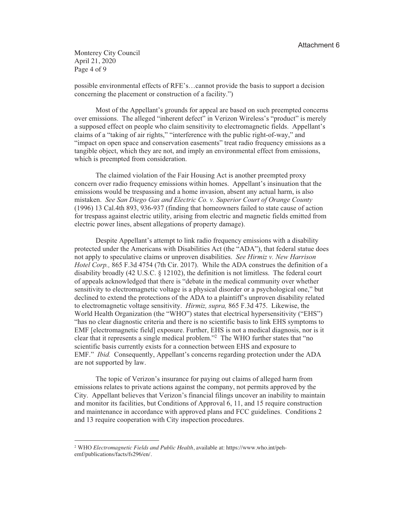Monterey City Council April 21, 2020 Page 4 of 9

possible environmental effects of RFE's...cannot provide the basis to support a decision concerning the placement or construction of a facility.")

Most of the Appellant's grounds for appeal are based on such preempted concerns over emissions. The alleged "inherent defect" in Verizon Wireless's "product" is merely a supposed effect on people who claim sensitivity to electromagnetic fields. Appellant's claims of a "taking of air rights," "interference with the public right-of-way," and "impact on open space and conservation easements" treat radio frequency emissions as a tangible object, which they are not, and imply an environmental effect from emissions, which is preempted from consideration.

The claimed violation of the Fair Housing Act is another preempted proxy concern over radio frequency emissions within homes. Appellant's insinuation that the emissions would be trespassing and a home invasion, absent any actual harm, is also mistaken. See San Diego Gas and Electric Co. v. Superior Court of Orange County (1996) 13 Cal.4th 893, 936-937 (finding that homeowners failed to state cause of action for trespass against electric utility, arising from electric and magnetic fields emitted from electric power lines, absent allegations of property damage).

Despite Appellant's attempt to link radio frequency emissions with a disability protected under the Americans with Disabilities Act (the "ADA"), that federal statue does not apply to speculative claims or unproven disabilities. See Hirmiz v. New Harrison Hotel Corp., 865 F.3d 4754 (7th Cir. 2017). While the ADA construes the definition of a disability broadly (42 U.S.C.  $\S$  12102), the definition is not limitless. The federal court of appeals acknowledged that there is "debate in the medical community over whether sensitivity to electromagnetic voltage is a physical disorder or a psychological one," but declined to extend the protections of the ADA to a plaintiff's unproven disability related to electromagnetic voltage sensitivity. *Hirmiz, supra,* 865 F.3d 475. Likewise, the World Health Organization (the "WHO") states that electrical hypersensitivity ("EHS") "has no clear diagnostic criteria and there is no scientific basis to link EHS symptoms to EMF [electromagnetic field] exposure. Further, EHS is not a medical diagnosis, nor is it clear that it represents a single medical problem."<sup>2</sup> The WHO further states that "no scientific basis currently exists for a connection between EHS and exposure to EMF." *Ibid.* Consequently, Appellant's concerns regarding protection under the ADA are not supported by law.

The topic of Verizon's insurance for paying out claims of alleged harm from emissions relates to private actions against the company, not permits approved by the City. Appellant believes that Verizon's financial filings uncover an inability to maintain and monitor its facilities, but Conditions of Approval 6, 11, and 15 require construction and maintenance in accordance with approved plans and FCC guidelines. Conditions 2 and 13 require cooperation with City inspection procedures.

<sup>&</sup>lt;sup>2</sup> WHO Electromagnetic Fields and Public Health, available at: https://www.who.int/pehemf/publications/facts/fs296/en/.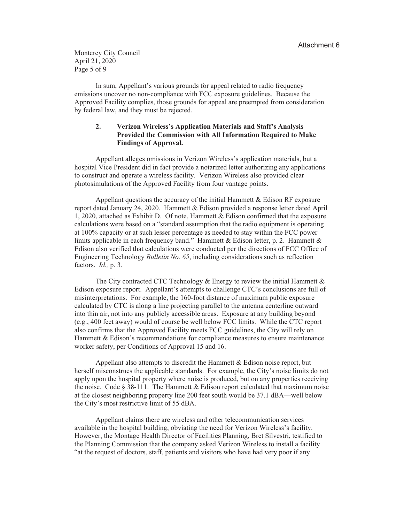Monterey City Council April 21, 2020 Page 5 of 9

In sum, Appellant's various grounds for appeal related to radio frequency emissions uncover no non-compliance with FCC exposure guidelines. Because the Approved Facility complies, those grounds for appeal are preempted from consideration by federal law, and they must be rejected.

### $2.$ Verizon Wireless's Application Materials and Staff's Analysis Provided the Commission with All Information Required to Make **Findings of Approval.**

Appellant alleges omissions in Verizon Wireless's application materials, but a hospital Vice President did in fact provide a notarized letter authorizing any applications to construct and operate a wireless facility. Verizon Wireless also provided clear photosimulations of the Approved Facility from four vantage points.

Appellant questions the accuracy of the initial Hammett & Edison RF exposure report dated January 24, 2020. Hammett & Edison provided a response letter dated April 1, 2020, attached as Exhibit D. Of note, Hammett & Edison confirmed that the exposure calculations were based on a "standard assumption that the radio equipment is operating at 100% capacity or at such lesser percentage as needed to stay within the FCC power limits applicable in each frequency band." Hammett & Edison letter, p. 2. Hammett & Edison also verified that calculations were conducted per the directions of FCC Office of Engineering Technology *Bulletin No. 65*, including considerations such as reflection factors. *Id.*, p. 3.

The City contracted CTC Technology & Energy to review the initial Hammett  $\&$ Edison exposure report. Appellant's attempts to challenge CTC's conclusions are full of misinterpretations. For example, the 160-foot distance of maximum public exposure calculated by CTC is along a line projecting parallel to the antenna centerline outward into thin air, not into any publicly accessible areas. Exposure at any building beyond (e.g., 400 feet away) would of course be well below FCC limits. While the CTC report also confirms that the Approved Facility meets FCC guidelines, the City will rely on Hammett & Edison's recommendations for compliance measures to ensure maintenance worker safety, per Conditions of Approval 15 and 16.

Appellant also attempts to discredit the Hammett & Edison noise report, but herself misconstrues the applicable standards. For example, the City's noise limits do not apply upon the hospital property where noise is produced, but on any properties receiving the noise. Code  $\S 38-111$ . The Hammett & Edison report calculated that maximum noise at the closest neighboring property line 200 feet south would be 37.1 dBA—well below the City's most restrictive limit of 55 dBA.

Appellant claims there are wireless and other telecommunication services available in the hospital building, obviating the need for Verizon Wireless's facility. However, the Montage Health Director of Facilities Planning, Bret Silvestri, testified to the Planning Commission that the company asked Verizon Wireless to install a facility "at the request of doctors, staff, patients and visitors who have had very poor if any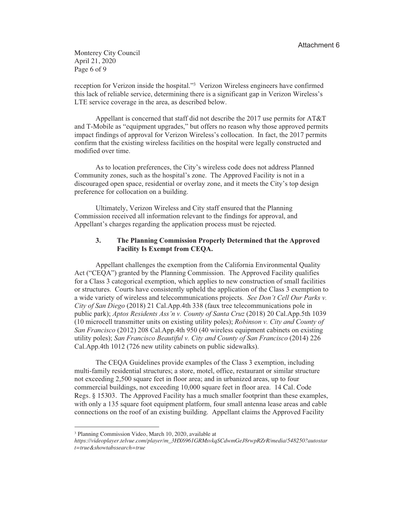Monterey City Council April 21, 2020 Page 6 of 9

reception for Verizon inside the hospital."<sup>3</sup> Verizon Wireless engineers have confirmed this lack of reliable service, determining there is a significant gap in Verizon Wireless's LTE service coverage in the area, as described below.

Appellant is concerned that staff did not describe the 2017 use permits for  $AT&T$ and T-Mobile as "equipment upgrades," but offers no reason why those approved permits impact findings of approval for Verizon Wireless's collocation. In fact, the 2017 permits confirm that the existing wireless facilities on the hospital were legally constructed and modified over time.

As to location preferences, the City's wireless code does not address Planned Community zones, such as the hospital's zone. The Approved Facility is not in a discouraged open space, residential or overlay zone, and it meets the City's top design preference for collocation on a building.

Ultimately, Verizon Wireless and City staff ensured that the Planning Commission received all information relevant to the findings for approval, and Appellant's charges regarding the application process must be rejected.

### $3<sub>1</sub>$ The Planning Commission Properly Determined that the Approved **Facility Is Exempt from CEQA.**

Appellant challenges the exemption from the California Environmental Quality Act ("CEQA") granted by the Planning Commission. The Approved Facility qualifies for a Class 3 categorical exemption, which applies to new construction of small facilities or structures. Courts have consistently upheld the application of the Class 3 exemption to a wide variety of wireless and telecommunications projects. See Don't Cell Our Parks v. City of San Diego (2018) 21 Cal.App.4th 338 (faux tree telecommunications pole in public park); Aptos Residents Ass'n v. County of Santa Cruz (2018) 20 Cal.App.5th 1039 (10 microcell transmitter units on existing utility poles); *Robinson v. City and County of* San Francisco (2012) 208 Cal.App.4th 950 (40 wireless equipment cabinets on existing utility poles); San Francisco Beautiful v. City and County of San Francisco (2014) 226 Cal.App.4th 1012 (726 new utility cabinets on public sidewalks).

The CEQA Guidelines provide examples of the Class 3 exemption, including multi-family residential structures; a store, motel, office, restaurant or similar structure not exceeding 2,500 square feet in floor area; and in urbanized areas, up to four commercial buildings, not exceeding 10,000 square feet in floor area. 14 Cal. Code Regs. § 15303. The Approved Facility has a much smaller footprint than these examples, with only a 135 square foot equipment platform, four small antenna lease areas and cable connections on the roof of an existing building. Appellant claims the Approved Facility

<sup>&</sup>lt;sup>3</sup> Planning Commission Video, March 10, 2020, available at

https://videoplayer.telvue.com/player/m\_3HX6961GRMsvkqSCdwmGeJ8rwpRZrR/media/548250?autostar t=true&showtabssearch=true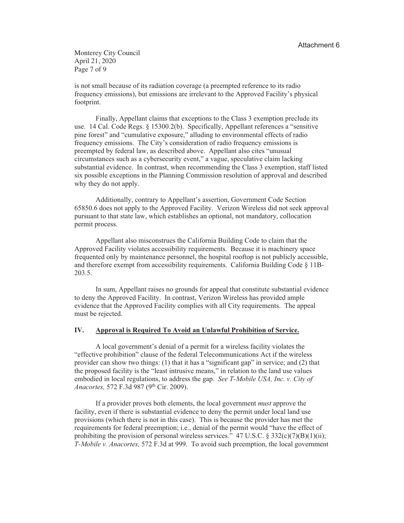Monterey City Council April 21, 2020 Page 7 of 9

is not small because of its radiation coverage (a preempted reference to its radio frequency emissions), but emissions are irrelevant to the Approved Facility's physical footprint.

Finally, Appellant claims that exceptions to the Class 3 exemption preclude its use. 14 Cal. Code Regs. § 15300.2(b). Specifically, Appellant references a "sensitive pine forest" and "cumulative exposure," alluding to environmental effects of radio frequency emissions. The City's consideration of radio frequency emissions is preempted by federal law, as described above. Appellant also cites "unusual circumstances such as a cybersecurity event," a vague, speculative claim lacking substantial evidence. In contrast, when recommending the Class 3 exemption, staff listed six possible exceptions in the Planning Commission resolution of approval and described why they do not apply.

Additionally, contrary to Appellant's assertion, Government Code Section 65850.6 does not apply to the Approved Facility. Verizon Wireless did not seek approval pursuant to that state law, which establishes an optional, not mandatory, collocation permit process.

Appellant also misconstrues the California Building Code to claim that the Approved Facility violates accessibility requirements. Because it is machinery space frequented only by maintenance personnel, the hospital rooftop is not publicly accessible, and therefore exempt from accessibility requirements. California Building Code  $\S$  11B-203.5.

In sum, Appellant raises no grounds for appeal that constitute substantial evidence to deny the Approved Facility. In contrast, Verizon Wireless has provided ample evidence that the Approved Facility complies with all City requirements. The appeal must be rejected.

#### IV. Approval is Required To Avoid an Unlawful Prohibition of Service.

A local government's denial of a permit for a wireless facility violates the "effective prohibition" clause of the federal Telecommunications Act if the wireless provider can show two things: (1) that it has a "significant gap" in service; and (2) that the proposed facility is the "least intrusive means," in relation to the land use values embodied in local regulations, to address the gap. See T-Mobile USA, Inc. v. City of Anacortes, 572 F.3d 987 (9th Cir. 2009).

If a provider proves both elements, the local government *must* approve the facility, even if there is substantial evidence to deny the permit under local land use provisions (which there is not in this case). This is because the provider has met the requirements for federal preemption; i.e., denial of the permit would "have the effect of prohibiting the provision of personal wireless services." 47 U.S.C. § 332(c)(7)(B)(1)(ii); T-Mobile y. Anacortes, 572 F.3d at 999. To avoid such preemption, the local government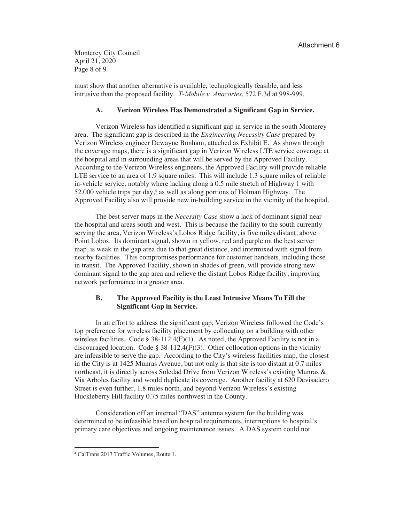Monterey City Council April 21, 2020 Page 8 of 9

must show that another alternative is available, technologically feasible, and less intrusive than the proposed facility. *T-Mobile v. Anacortes*, 572 F.3d at 998-999.

#### Verizon Wireless Has Demonstrated a Significant Gap in Service.  $\mathbf{A}$ .

Verizon Wireless has identified a significant gap in service in the south Monterey area. The significant gap is described in the *Engineering Necessity Case* prepared by Verizon Wireless engineer Dewayne Bonham, attached as Exhibit E. As shown through the coverage maps, there is a significant gap in Verizon Wireless LTE service coverage at the hospital and in surrounding areas that will be served by the Approved Facility. According to the Verizon Wireless engineers, the Approved Facility will provide reliable LTE service to an area of 1.9 square miles. This will include 1.3 square miles of reliable in-vehicle service, notably where lacking along a 0.5 mile stretch of Highway 1 with 52,000 vehicle trips per day,<sup>4</sup> as well as along portions of Holman Highway. The Approved Facility also will provide new in-building service in the vicinity of the hospital.

The best server maps in the Necessity Case show a lack of dominant signal near the hospital and areas south and west. This is because the facility to the south currently serving the area, Verizon Wireless's Lobos Ridge facility, is five miles distant, above Point Lobos. Its dominant signal, shown in yellow, red and purple on the best server map, is weak in the gap area due to that great distance, and intermixed with signal from nearby facilities. This compromises performance for customer handsets, including those in transit. The Approved Facility, shown in shades of green, will provide strong new dominant signal to the gap area and relieve the distant Lobos Ridge facility, improving network performance in a greater area.

### **B.** The Approved Facility is the Least Intrusive Means To Fill the **Significant Gap in Service.**

In an effort to address the significant gap, Verizon Wireless followed the Code's top preference for wireless facility placement by collocating on a building with other wireless facilities. Code § 38-112.4(F)(1). As noted, the Approved Facility is not in a discouraged location. Code § 38-112.4(F)(3). Other collocation options in the vicinity are infeasible to serve the gap. According to the City's wireless facilities map, the closest in the City is at 1425 Munras Avenue, but not only is that site is too distant at 0.7 miles northeast, it is directly across Soledad Drive from Verizon Wireless's existing Munras & Via Arboles facility and would duplicate its coverage. Another facility at 620 Devisadero Street is even further, 1.8 miles north, and beyond Verizon Wireless's existing Huckleberry Hill facility 0.75 miles northwest in the County.

Consideration off an internal "DAS" antenna system for the building was determined to be infeasible based on hospital requirements, interruptions to hospital's primary care objectives and ongoing maintenance issues. A DAS system could not

<sup>&</sup>lt;sup>4</sup> CalTrans 2017 Traffic Volumes, Route 1.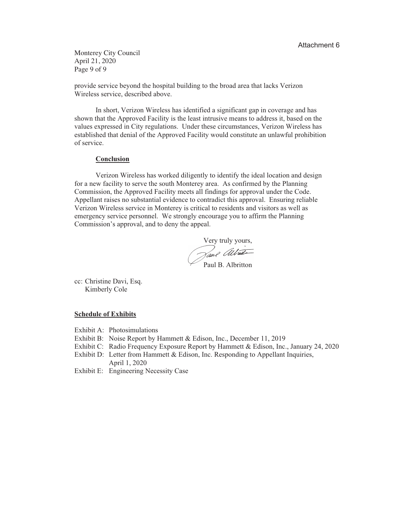Monterey City Council April 21, 2020 Page 9 of 9

provide service beyond the hospital building to the broad area that lacks Verizon Wireless service, described above.

In short, Verizon Wireless has identified a significant gap in coverage and has shown that the Approved Facility is the least intrusive means to address it, based on the values expressed in City regulations. Under these circumstances, Verizon Wireless has established that denial of the Approved Facility would constitute an unlawful prohibition of service.

# Conclusion

Verizon Wireless has worked diligently to identify the ideal location and design for a new facility to serve the south Monterey area. As confirmed by the Planning Commission, the Approved Facility meets all findings for approval under the Code. Appellant raises no substantial evidence to contradict this approval. Ensuring reliable Verizon Wireless service in Monterey is critical to residents and visitors as well as emergency service personnel. We strongly encourage you to affirm the Planning Commission's approval, and to deny the appeal.

Very truly yours, .<br>Paul B. Albritton

cc: Christine Davi, Esq. Kimberly Cole

# **Schedule of Exhibits**

- Exhibit A: Photosimulations
- Exhibit B: Noise Report by Hammett & Edison, Inc., December 11, 2019
- Exhibit C: Radio Frequency Exposure Report by Hammett & Edison, Inc., January 24, 2020
- Exhibit D: Letter from Hammett & Edison, Inc. Responding to Appellant Inquiries, April 1, 2020
- Exhibit E: Engineering Necessity Case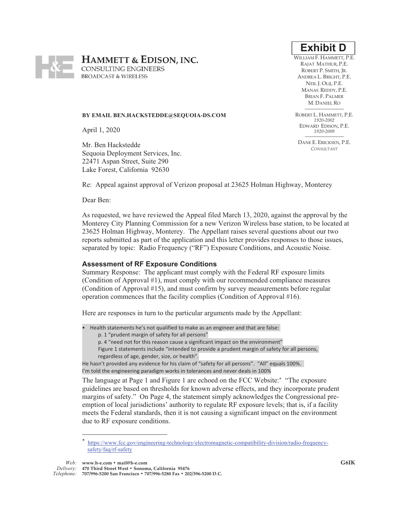

WILLIAM F. HAMMETT, P.E. RAJAT MATHUR, P.E. ROBERT P. SMITH. IR. ANDREA L. BRIGHT, P.E. NEIL J. OLIJ, P.E. MANAS REDDY, P.E. BRIAN F. PALMER M. DANIEL RO

ROBERT L. HAMMETT, P.E. 1920-2002 EDWARD EDISON, P.E. 1920-2009

DANE E. ERICKSEN, P.E. CONSULTANT



# BY EMAIL BEN.HACKSTEDDE@SEQUOIA-DS.COM

April 1, 2020

Mr. Ben Hackstedde Sequoia Deployment Services, Inc. 22471 Aspan Street, Suite 290 Lake Forest, California 92630

Re: Appeal against approval of Verizon proposal at 23625 Holman Highway, Monterey

Dear Ben:

As requested, we have reviewed the Appeal filed March 13, 2020, against the approval by the Monterey City Planning Commission for a new Verizon Wireless base station, to be located at 23625 Holman Highway, Monterey. The Appellant raises several questions about our two reports submitted as part of the application and this letter provides responses to those issues, separated by topic: Radio Frequency ("RF") Exposure Conditions, and Acoustic Noise.

## **Assessment of RF Exposure Conditions**

Summary Response: The applicant must comply with the Federal RF exposure limits (Condition of Approval #1), must comply with our recommended compliance measures (Condition of Approval #15), and must confirm by survey measurements before regular operation commences that the facility complies (Condition of Approval #16).

Here are responses in turn to the particular arguments made by the Appellant:

- Health statements he's not qualified to make as an engineer and that are false:
	- p. 1 "prudent margin of safety for all persons"
	- p. 4 "need not for this reason cause a significant impact on the environment"
	- Figure 1 statements include "intended to provide a prudent margin of safety for all persons, regardless of age, gender, size, or health".

He hasn't provided any evidence for his claim of "safety for all persons". "All" equals 100%. I'm told the engineering paradigm works in tolerances and never deals in 100%

The language at Page 1 and Figure 1 are echoed on the FCC Website:\* "The exposure guidelines are based on thresholds for known adverse effects, and they incorporate prudent margins of safety." On Page 4, the statement simply acknowledges the Congressional preemption of local jurisdictions' authority to regulate RF exposure levels; that is, if a facility meets the Federal standards, then it is not causing a significant impact on the environment due to RF exposure conditions.

Web: www.h-e.com · mail@h-e.com

https://www.fcc.gov/engineering-technology/electromagnetic-compatibility-division/radio-frequencysafety/faq/rf-safety

Delivery: 470 Third Street West . Sonoma, California 95476 Telephone: 707/996-5200 San Francisco • 707/996-5280 Fax • 202/396-5200 D.C.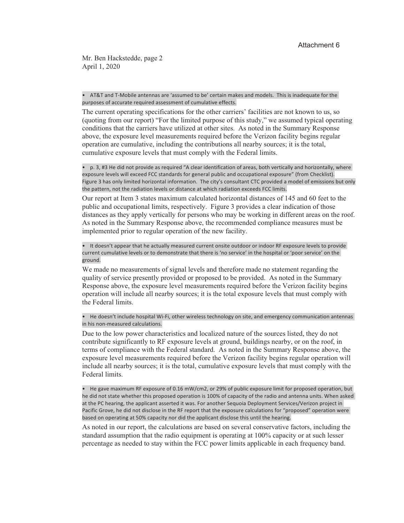Mr. Ben Hackstedde, page 2 April 1, 2020

• AT&T and T-Mobile antennas are 'assumed to be' certain makes and models. This is inadequate for the purposes of accurate required assessment of cumulative effects.

The current operating specifications for the other carriers' facilities are not known to us, so (quoting from our report) "For the limited purpose of this study," we assumed typical operating conditions that the carriers have utilized at other sites. As noted in the Summary Response above, the exposure level measurements required before the Verizon facility begins regular operation are cumulative, including the contributions all nearby sources; it is the total, cumulative exposure levels that must comply with the Federal limits.

• p. 3, #3 He did not provide as required "A clear identification of areas, both vertically and horizontally, where exposure levels will exceed FCC standards for general public and occupational exposure" (from Checklist). Figure 3 has only limited horizontal information. The city's consultant CTC provided a model of emissions but only the pattern, not the radiation levels or distance at which radiation exceeds FCC limits.

Our report at Item 3 states maximum calculated horizontal distances of 145 and 60 feet to the public and occupational limits, respectively. Figure 3 provides a clear indication of those distances as they apply vertically for persons who may be working in different areas on the roof. As noted in the Summary Response above, the recommended compliance measures must be implemented prior to regular operation of the new facility.

• It doesn't appear that he actually measured current onsite outdoor or indoor RF exposure levels to provide current cumulative levels or to demonstrate that there is 'no service' in the hospital or 'poor service' on the ground.

We made no measurements of signal levels and therefore made no statement regarding the quality of service presently provided or proposed to be provided. As noted in the Summary Response above, the exposure level measurements required before the Verizon facility begins operation will include all nearby sources; it is the total exposure levels that must comply with the Federal limits.

• He doesn't include hospital Wi-Fi, other wireless technology on site, and emergency communication antennas in his non-measured calculations.

Due to the low power characteristics and localized nature of the sources listed, they do not contribute significantly to RF exposure levels at ground, buildings nearby, or on the roof, in terms of compliance with the Federal standard. As noted in the Summary Response above, the exposure level measurements required before the Verizon facility begins regular operation will include all nearby sources; it is the total, cumulative exposure levels that must comply with the Federal limits

• He gave maximum RF exposure of 0.16 mW/cm2, or 29% of public exposure limit for proposed operation, but he did not state whether this proposed operation is 100% of capacity of the radio and antenna units. When asked at the PC hearing, the applicant asserted it was. For another Sequoia Deployment Services/Verizon project in Pacific Grove, he did not disclose in the RF report that the exposure calculations for "proposed" operation were based on operating at 50% capacity nor did the applicant disclose this until the hearing.

As noted in our report, the calculations are based on several conservative factors, including the standard assumption that the radio equipment is operating at 100% capacity or at such lesser percentage as needed to stay within the FCC power limits applicable in each frequency band.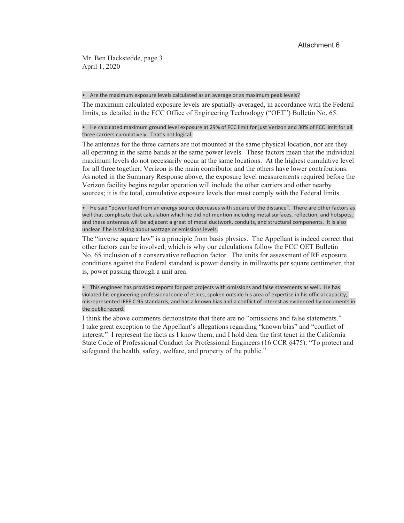Mr. Ben Hackstedde, page 3 April 1, 2020

## • Are the maximum exposure levels calculated as an average or as maximum peak levels?

The maximum calculated exposure levels are spatially-averaged, in accordance with the Federal limits, as detailed in the FCC Office of Engineering Technology ("OET") Bulletin No. 65.

• He calculated maximum ground level exposure at 29% of FCC limit for just Verizon and 30% of FCC limit for all three carriers cumulatively. That's not logical.

The antennas for the three carriers are not mounted at the same physical location, nor are they all operating in the same bands at the same power levels. These factors mean that the individual maximum levels do not necessarily occur at the same locations. At the highest cumulative level for all three together, Verizon is the main contributor and the others have lower contributions. As noted in the Summary Response above, the exposure level measurements required before the Verizon facility begins regular operation will include the other carriers and other nearby sources; it is the total, cumulative exposure levels that must comply with the Federal limits.

• He said "power level from an energy source decreases with square of the distance". There are other factors as well that complicate that calculation which he did not mention including metal surfaces, reflection, and hotspots, and these antennas will be adjacent a great of metal ductwork, conduits, and structural components. It is also unclear if he is talking about wattage or emissions levels.

The "inverse square law" is a principle from basis physics. The Appellant is indeed correct that other factors can be involved, which is why our calculations follow the FCC OET Bulletin No. 65 inclusion of a conservative reflection factor. The units for assessment of RF exposure conditions against the Federal standard is power density in milliwatts per square centimeter, that is, power passing through a unit area.

• This engineer has provided reports for past projects with omissions and false statements as well. He has violated his engineering professional code of ethics, spoken outside his area of expertise in his official capacity, misrepresented IEEE C.95 standards, and has a known bias and a conflict of interest as evidenced by documents in the public record.

I think the above comments demonstrate that there are no "omissions and false statements." I take great exception to the Appellant's allegations regarding "known bias" and "conflict of interest." I represent the facts as I know them, and I hold dear the first tenet in the California State Code of Professional Conduct for Professional Engineers (16 CCR §475): "To protect and safeguard the health, safety, welfare, and property of the public."